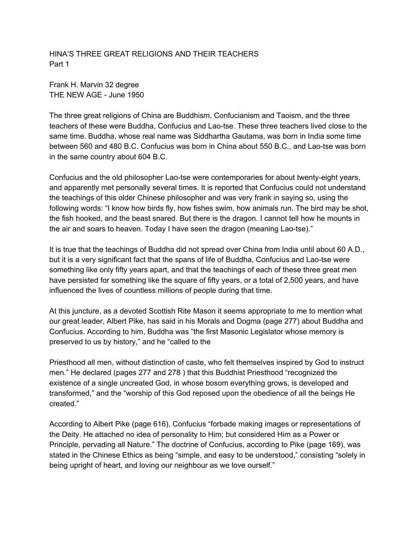HINA'S THREE GREAT RELIGIONS AND THEIR TEACHERS Part 1

Frank H. Marvin 32 degree THE NEW AGE - June 1950

The three great religions of China are Buddhism, Confucianism and Taoism, and the three teachers of these were Buddha, Confucius and Lao-tse. These three teachers lived close to the same time. Buddha, whose real name was Siddhartha Gautama, was born in India some time between 560 and 480 B.C. Confucius was born in China about 550 B.C., and Lao-tse was born in the same country about 604 B.C.

Confucius and the old philosopher Lao-tse were contemporaries for about twenty-eight years, and apparently met personally several times. It is reported that Confucius could not understand the teachings of this older Chinese philosopher and was very frank in saying so, using the following words: "I know how birds fly, how fishes swim, how animals run. The bird may be shot, the fish hooked, and the beast snared. But there is the dragon. I cannot tell how he mounts in the air and soars to heaven. Today I have seen the dragon (meaning Lao-tse)."

It is true that the teachings of Buddha did not spread over China from India until about 60 A.D., but it is a very significant fact that the spans of life of Buddha, Confucius and Lao-tse were something like only fifty years apart, and that the teachings of each of these three great men have persisted for something like the square of fifty years, or a total of 2,500 years, and have influenced the lives of countless millions of people during that time.

At this juncture, as a devoted Scottish Rite Mason it seems appropriate to me to mention what our great leader, Albert Pike, has said in his Morals and Dogma (page 277) about Buddha and Confucius. According to him, Buddha was "the first Masonic Legislator whose memory is preserved to us by history," and he "called to the

Priesthood all men, without distinction of caste, who felt themselves inspired by God to instruct men." He declared (pages 277 and 278 ) that this Buddhist Priesthood "recognized the existence of a single uncreated God, in whose bosom everything grows, is developed and transformed," and the "worship of this God reposed upon the obedience of all the beings He created."

According to Albert Pike (page 616), Confucius "forbade making images or representations of the Deity. He attached no idea of personality to Him; but considered Him as a Power or Principle, pervading all Nature." The doctrine of Confucius, according to Pike (page 169), was stated in the Chinese Ethics as being "simple, and easy to be understood," consisting "solely in being upright of heart, and loving our neighbour as we love ourself."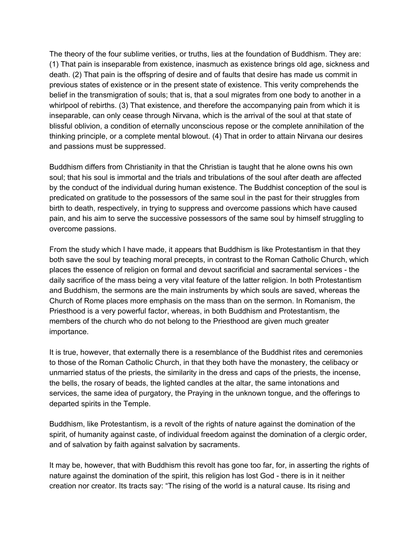The theory of the four sublime verities, or truths, lies at the foundation of Buddhism. They are: (1) That pain is inseparable from existence, inasmuch as existence brings old age, sickness and death. (2) That pain is the offspring of desire and of faults that desire has made us commit in previous states of existence or in the present state of existence. This verity comprehends the belief in the transmigration of souls; that is, that a soul migrates from one body to another in a whirlpool of rebirths. (3) That existence, and therefore the accompanying pain from which it is inseparable, can only cease through Nirvana, which is the arrival of the soul at that state of blissful oblivion, a condition of eternally unconscious repose or the complete annihilation of the thinking principle, or a complete mental blowout. (4) That in order to attain Nirvana our desires and passions must be suppressed.

Buddhism differs from Christianity in that the Christian is taught that he alone owns his own soul; that his soul is immortal and the trials and tribulations of the soul after death are affected by the conduct of the individual during human existence. The Buddhist conception of the soul is predicated on gratitude to the possessors of the same soul in the past for their struggles from birth to death, respectively, in trying to suppress and overcome passions which have caused pain, and his aim to serve the successive possessors of the same soul by himself struggling to overcome passions.

From the study which I have made, it appears that Buddhism is like Protestantism in that they both save the soul by teaching moral precepts, in contrast to the Roman Catholic Church, which places the essence of religion on formal and devout sacrificial and sacramental services - the daily sacrifice of the mass being a very vital feature of the latter religion. In both Protestantism and Buddhism, the sermons are the main instruments by which souls are saved, whereas the Church of Rome places more emphasis on the mass than on the sermon. In Romanism, the Priesthood is a very powerful factor, whereas, in both Buddhism and Protestantism, the members of the church who do not belong to the Priesthood are given much greater importance.

It is true, however, that externally there is a resemblance of the Buddhist rites and ceremonies to those of the Roman Catholic Church, in that they both have the monastery, the celibacy or unmarried status of the priests, the similarity in the dress and caps of the priests, the incense, the bells, the rosary of beads, the lighted candles at the altar, the same intonations and services, the same idea of purgatory, the Praying in the unknown tongue, and the offerings to departed spirits in the Temple.

Buddhism, like Protestantism, is a revolt of the rights of nature against the domination of the spirit, of humanity against caste, of individual freedom against the domination of a clergic order, and of salvation by faith against salvation by sacraments.

It may be, however, that with Buddhism this revolt has gone too far, for, in asserting the rights of nature against the domination of the spirit, this religion has lost God - there is in it neither creation nor creator. Its tracts say: "The rising of the world is a natural cause. Its rising and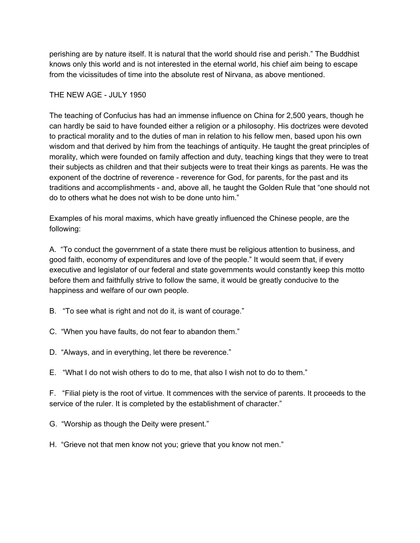perishing are by nature itself. It is natural that the world should rise and perish." The Buddhist knows only this world and is not interested in the eternal world, his chief aim being to escape from the vicissitudes of time into the absolute rest of Nirvana, as above mentioned.

## THE NEW AGE - JULY 1950

The teaching of Confucius has had an immense influence on China for 2,500 years, though he can hardly be said to have founded either a religion or a philosophy. His doctrizes were devoted to practical morality and to the duties of man in relation to his fellow men, based upon his own wisdom and that derived by him from the teachings of antiquity. He taught the great principles of morality, which were founded on family affection and duty, teaching kings that they were to treat their subjects as children and that their subjects were to treat their kings as parents. He was the exponent of the doctrine of reverence - reverence for God, for parents, for the past and its traditions and accomplishments - and, above all, he taught the Golden Rule that "one should not do to others what he does not wish to be done unto him."

Examples of his moral maxims, which have greatly influenced the Chinese people, are the following:

A. "To conduct the governrnent of a state there must be religious attention to business, and good faith, economy of expenditures and love of the people." It would seem that, if every executive and legislator of our federal and state governments would constantly keep this motto before them and faithfully strive to follow the same, it would be greatly conducive to the happiness and welfare of our own people.

- B. "To see what is right and not do it, is want of courage."
- C. "When you have faults, do not fear to abandon them."
- D. "Always, and in everything, let there be reverence."

E. "What I do not wish others to do to me, that also I wish not to do to them."

F. "Filial piety is the root of virtue. It commences with the service of parents. It proceeds to the service of the ruler. It is completed by the establishment of character."

G. "Worship as though the Deity were present."

H. "Grieve not that men know not you; grieve that you know not men."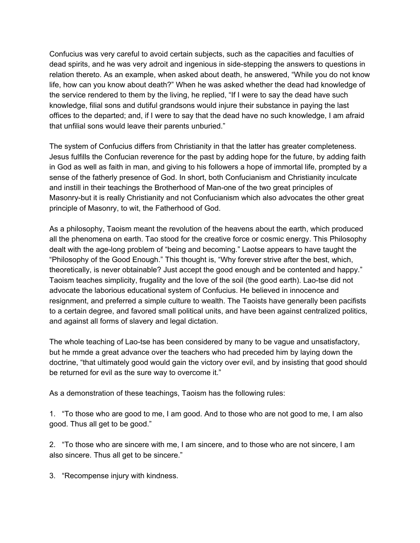Confucius was very careful to avoid certain subjects, such as the capacities and faculties of dead spirits, and he was very adroit and ingenious in side-stepping the answers to questions in relation thereto. As an example, when asked about death, he answered, "While you do not know life, how can you know about death?" When he was asked whether the dead had knowledge of the service rendered to them by the living, he replied, "If I were to say the dead have such knowledge, filial sons and dutiful grandsons would injure their substance in paying the last offices to the departed; and, if I were to say that the dead have no such knowledge, I am afraid that unfilial sons would leave their parents unburied."

The system of Confucius differs from Christianity in that the latter has greater completeness. Jesus fulfills the Confucian reverence for the past by adding hope for the future, by adding faith in God as well as faith in man, and giving to his followers a hope of immortal life, prompted by a sense of the fatherly presence of God. In short, both Confucianism and Christianity inculcate and instill in their teachings the Brotherhood of Man-one of the two great principles of Masonry-but it is really Christianity and not Confucianism which also advocates the other great principle of Masonry, to wit, the Fatherhood of God.

As a philosophy, Taoism meant the revolution of the heavens about the earth, which produced all the phenomena on earth. Tao stood for the creative force or cosmic energy. This Philosophy dealt with the age-long problem of "being and becoming." Laotse appears to have taught the "Philosophy of the Good Enough." This thought is, "Why forever strive after the best, which, theoretically, is never obtainable? Just accept the good enough and be contented and happy." Taoism teaches simplicity, frugality and the love of the soil (the good earth). Lao-tse did not advocate the laborious educational system of Confucius. He believed in innocence and resignment, and preferred a simple culture to wealth. The Taoists have generally been pacifists to a certain degree, and favored small political units, and have been against centralized politics, and against all forms of slavery and legal dictation.

The whole teaching of Lao-tse has been considered by many to be vague and unsatisfactory, but he mmde a great advance over the teachers who had preceded him by laying down the doctrine, "that ultimately good would gain the victory over evil, and by insisting that good should be returned for evil as the sure way to overcome it."

As a demonstration of these teachings, Taoism has the following rules:

1. "To those who are good to me, I am good. And to those who are not good to me, I am also good. Thus all get to be good."

2. "To those who are sincere with me, I am sincere, and to those who are not sincere, I am also sincere. Thus all get to be sincere."

3. "Recompense injury with kindness.